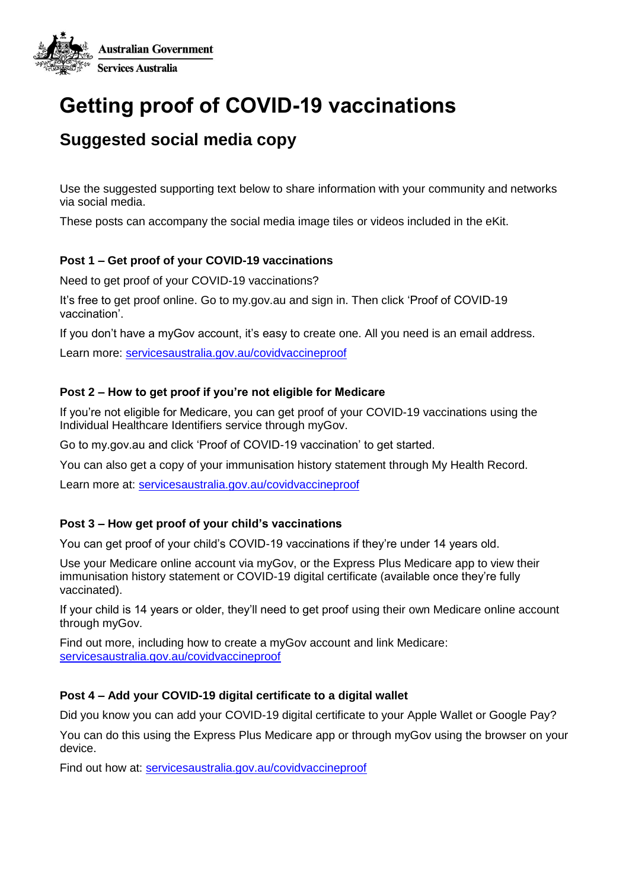

# **Getting proof of COVID-19 vaccinations**

# **Suggested social media copy**

Use the suggested supporting text below to share information with your community and networks via social media.

These posts can accompany the social media image tiles or videos included in the eKit.

# **Post 1 – Get proof of your COVID-19 vaccinations**

Need to get proof of your COVID-19 vaccinations?

It's free to get proof online. Go to my.gov.au and sign in. Then click 'Proof of COVID-19 vaccination'.

If you don't have a myGov account, it's easy to create one. All you need is an email address.

Learn more: [servicesaustralia.gov.au/covidvaccineproof](https://www.servicesaustralia.gov.au/individuals/subjects/getting-help-during-coronavirus-covid-19/covid-19-vaccinations/how-get-proof-your-covid-19-vaccinations)

#### **Post 2 – How to get proof if you're not eligible for Medicare**

If you're not eligible for Medicare, you can get proof of your COVID-19 vaccinations using the Individual Healthcare Identifiers service through myGov.

Go to my.gov.au and click 'Proof of COVID-19 vaccination' to get started.

You can also get a copy of your immunisation history statement through My Health Record.

Learn more at: [servicesaustralia.gov.au/covidvaccineproof](https://www.servicesaustralia.gov.au/individuals/subjects/getting-help-during-coronavirus-covid-19/covid-19-vaccinations/how-get-proof-your-covid-19-vaccinations)

#### **Post 3 – How get proof of your child's vaccinations**

You can get proof of your child's COVID-19 vaccinations if they're under 14 years old.

Use your Medicare online account via myGov, or the Express Plus Medicare app to view their immunisation history statement or COVID-19 digital certificate (available once they're fully vaccinated).

If your child is 14 years or older, they'll need to get proof using their own Medicare online account through myGov.

Find out more, including how to create a myGov account and link Medicare: [servicesaustralia.gov.au/covidvaccineproof](https://www.servicesaustralia.gov.au/individuals/subjects/getting-help-during-coronavirus-covid-19/covid-19-vaccinations/how-get-proof-your-covid-19-vaccinations)

# **Post 4 – Add your COVID-19 digital certificate to a digital wallet**

Did you know you can add your COVID-19 digital certificate to your Apple Wallet or Google Pay?

You can do this using the Express Plus Medicare app or through myGov using the browser on your device.

Find out how at: [servicesaustralia.gov.au/covidvaccineproof](https://www.servicesaustralia.gov.au/individuals/subjects/getting-help-during-coronavirus-covid-19/covid-19-vaccinations/how-get-proof-your-covid-19-vaccinations)